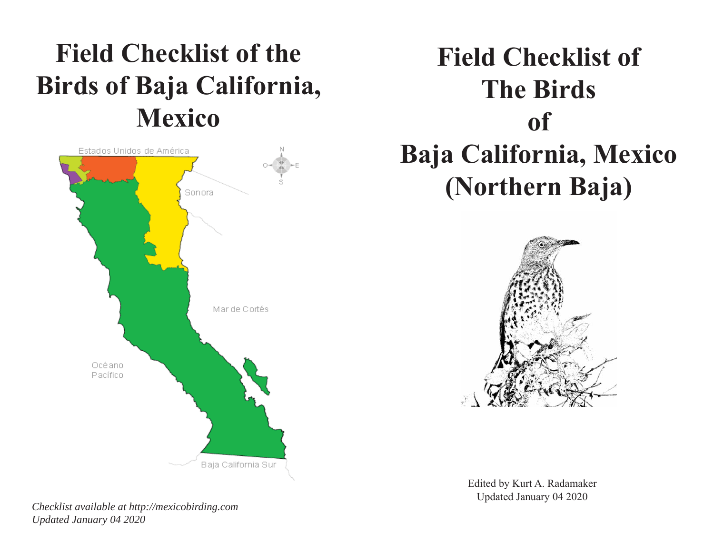## **Field Checklist of the Birds of Baja California, Mexico**



# **Field Checklist of The Birds of Baja California, Mexico (Northern Baja)**



Edited by Kurt A. Radamaker Updated January 04 2020

*Checklist available at http://mexicobirding.com Updated January 04 2020*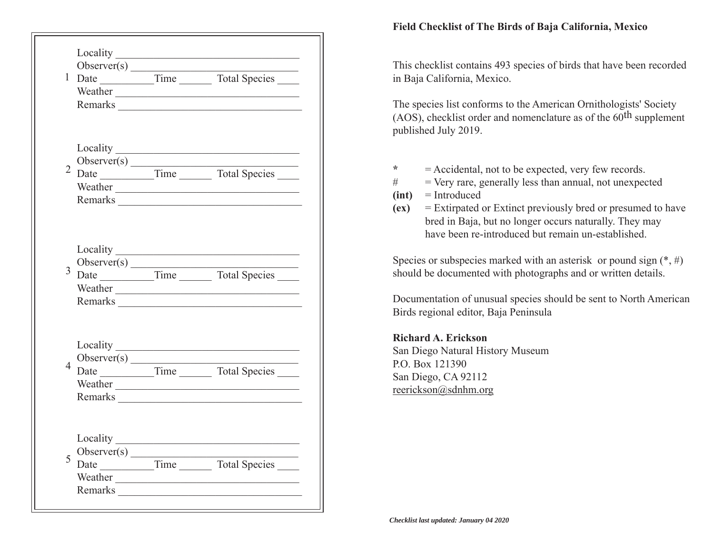|                |                                                          | Remarks <u>and the second second second</u> second second second second second second second second second second second second second second second second second second second second second second second second second second s |
|----------------|----------------------------------------------------------|-------------------------------------------------------------------------------------------------------------------------------------------------------------------------------------------------------------------------------------|
|                |                                                          | Weather Learner and the state of the state of the state of the state of the state of the state of the state of the state of the state of the state of the state of the state of the state of the state of the state of the sta      |
| 3              |                                                          |                                                                                                                                                                                                                                     |
| $\overline{4}$ |                                                          | Weather <u>experience</u>                                                                                                                                                                                                           |
| 5              | Locality<br>Observer $(s)$<br>Date<br>Weather<br>Remarks | Time Total Species                                                                                                                                                                                                                  |

#### **Field Checklist of The Birds of Baja California, Mexico**

This checklist contains 493 species of birds that have been recorded in Baja California, Mexico.

The species list conforms to the American Ornithologists' Society (AOS), checklist order and nomenclature as of the  $60<sup>th</sup>$  supplement published July 2019.

- **\***= Accidental, not to be expected, very few records.
- $#$  = Very rare, generally less than annual, not unexpected
- **(int)** = Introduced
- **(ex)** = Extirpated or Extinct previously bred or presumed to have bred in Baja, but no longer occurs naturally. They may have been re-introduced but remain un-established.

Species or subspecies marked with an asterisk or pound sign  $(*, \#)$ should be documented with photographs and or written details.

Documentation of unusual species should be sent to North American Birds regional editor, Baja Peninsula

### **Richard A. Erickson**

San Diego Natural History Museum P.O. Box 121390 San Diego, CA 92112 reerickson@sdnhm.org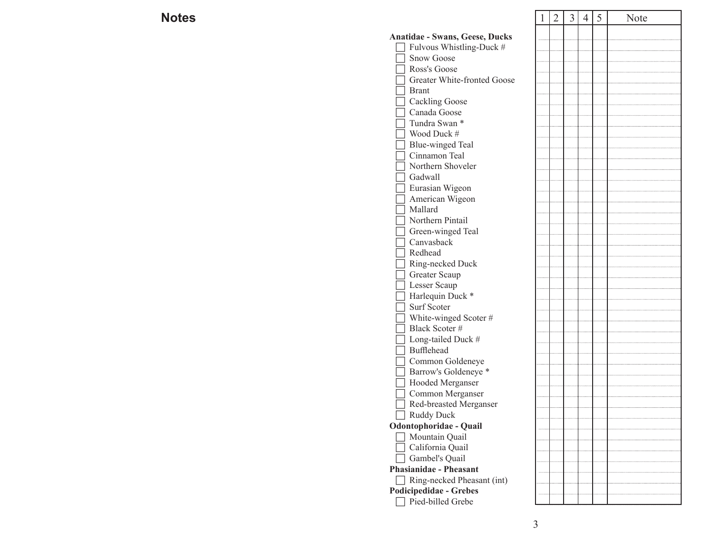## **Notes**

| S |                                          | 1 | $\overline{2}$ | $\overline{3}$ | $\overline{4}$ | 5 | Note |
|---|------------------------------------------|---|----------------|----------------|----------------|---|------|
|   | Anatidae - Swans, Geese, Ducks           |   |                |                |                |   |      |
|   | Fulvous Whistling-Duck #                 |   |                |                |                |   |      |
|   | <b>Snow Goose</b>                        |   |                |                |                |   |      |
|   | Ross's Goose                             |   |                |                |                |   |      |
|   | Greater White-fronted Goose              |   |                |                |                |   |      |
|   | <b>Brant</b>                             |   |                |                |                |   |      |
|   | <b>Cackling Goose</b>                    |   |                |                |                |   |      |
|   | Canada Goose                             |   |                |                |                |   |      |
|   | Tundra Swan *                            |   |                |                |                |   |      |
|   | Wood Duck #                              |   |                |                |                |   |      |
|   | <b>Blue-winged Teal</b>                  |   |                |                |                |   |      |
|   | Cinnamon Teal                            |   |                |                |                |   |      |
|   | Northern Shoveler                        |   |                |                |                |   |      |
|   | Gadwall                                  |   |                |                |                |   |      |
|   | Eurasian Wigeon                          |   |                |                |                |   |      |
|   | American Wigeon                          |   |                |                |                |   |      |
|   | Mallard                                  |   |                |                |                |   |      |
|   | Northern Pintail                         |   |                |                |                |   |      |
|   | Green-winged Teal                        |   |                |                |                |   |      |
|   | Canvasback                               |   |                |                |                |   |      |
|   | Redhead                                  |   |                |                |                |   |      |
|   | Ring-necked Duck                         |   |                |                |                |   |      |
|   | Greater Scaup                            |   |                |                |                |   |      |
|   | Lesser Scaup                             |   |                |                |                |   |      |
|   | Harlequin Duck *                         |   |                |                |                |   |      |
|   | Surf Scoter                              |   |                |                |                |   |      |
|   | White-winged Scoter#                     |   |                |                |                |   |      |
|   | Black Scoter #                           |   |                |                |                |   |      |
|   | Long-tailed Duck #                       |   |                |                |                |   |      |
|   | Bufflehead                               |   |                |                |                |   |      |
|   | Common Goldeneye                         |   |                |                |                |   |      |
|   | Barrow's Goldeneye <sup>*</sup>          |   |                |                |                |   |      |
|   | Hooded Merganser                         |   |                |                |                |   |      |
|   | Common Merganser                         |   |                |                |                |   |      |
|   | Red-breasted Merganser                   |   |                |                |                |   |      |
|   | Ruddy Duck                               |   |                |                |                |   |      |
|   | Odontophoridae - Quail<br>Mountain Quail |   |                |                |                |   |      |
|   | California Quail                         |   |                |                |                |   |      |
|   | Gambel's Quail                           |   |                |                |                |   |      |
|   | <b>Phasianidae - Pheasant</b>            |   |                |                |                |   |      |
|   | Ring-necked Pheasant (int)               |   |                |                |                |   |      |
|   | <b>Podicipedidae - Grebes</b>            |   |                |                |                |   |      |
|   | Pied-billed Grebe                        |   |                |                |                |   |      |
|   |                                          |   |                |                |                |   |      |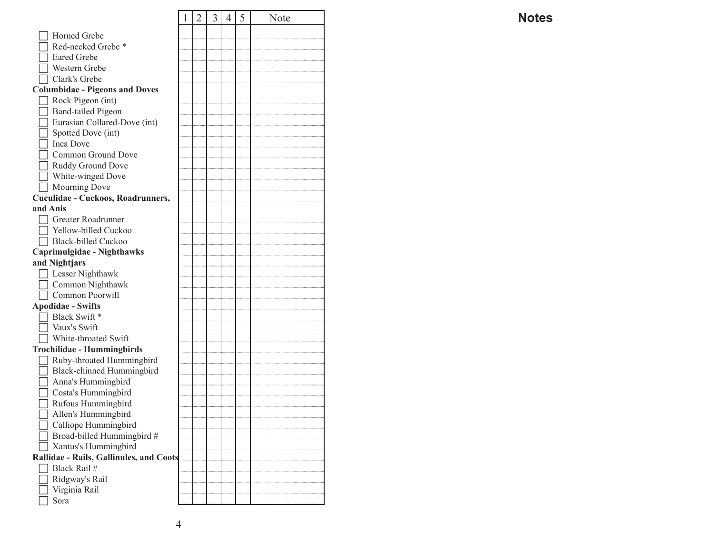|                                         | 1 | $\overline{2}$ | 3 | $\overline{4}$ | 5 | Note |
|-----------------------------------------|---|----------------|---|----------------|---|------|
| Horned Grebe                            |   |                |   |                |   |      |
| Red-necked Grebe *                      |   |                |   |                |   |      |
| <b>Eared Grebe</b>                      |   |                |   |                |   |      |
| Western Grebe                           |   |                |   |                |   |      |
| Clark's Grebe                           |   |                |   |                |   |      |
| <b>Columbidae - Pigeons and Doves</b>   |   |                |   |                |   |      |
| Rock Pigeon (int)                       |   |                |   |                |   |      |
| <b>Band-tailed Pigeon</b>               |   |                |   |                |   |      |
| Eurasian Collared-Dove (int)            |   |                |   |                |   |      |
| Spotted Dove (int)                      |   |                |   |                |   |      |
| T Inca Dove                             |   |                |   |                |   |      |
| Common Ground Dove                      |   |                |   |                |   |      |
| Ruddy Ground Dove                       |   |                |   |                |   |      |
| White-winged Dove                       |   |                |   |                |   |      |
| Mourning Dove                           |   |                |   |                |   |      |
| Cuculidae - Cuckoos, Roadrunners,       |   |                |   |                |   |      |
| and Anis                                |   |                |   |                |   |      |
| □ Greater Roadrunner                    |   |                |   |                |   |      |
| Yellow-billed Cuckoo                    |   |                |   |                |   |      |
| Black-billed Cuckoo                     |   |                |   |                |   |      |
| Caprimulgidae - Nighthawks              |   |                |   |                |   |      |
| and Nightjars                           |   |                |   |                |   |      |
| Lesser Nighthawk                        |   |                |   |                |   |      |
| Common Nighthawk                        |   |                |   |                |   |      |
| Common Poorwill                         |   |                |   |                |   |      |
| <b>Apodidae - Swifts</b>                |   |                |   |                |   |      |
| Black Swift *                           |   |                |   |                |   |      |
| Vaux's Swift                            |   |                |   |                |   |      |
| White-throated Swift                    |   |                |   |                |   |      |
| <b>Trochilidae - Hummingbirds</b>       |   |                |   |                |   |      |
| Ruby-throated Hummingbird               |   |                |   |                |   |      |
| Black-chinned Hummingbird               |   |                |   |                |   |      |
| Anna's Hummingbird                      |   |                |   |                |   |      |
| Costa's Hummingbird                     |   |                |   |                |   |      |
| Rufous Hummingbird                      |   |                |   |                |   |      |
| Allen's Hummingbird                     |   |                |   |                |   |      |
| Calliope Hummingbird                    |   |                |   |                |   |      |
| Broad-billed Hummingbird #              |   |                |   |                |   |      |
| Xantus's Hummingbird                    |   |                |   |                |   |      |
| Rallidae - Rails, Gallinules, and Coots |   |                |   |                |   |      |
| Black Rail #                            |   |                |   |                |   |      |
| Ridgway's Rail                          |   |                |   |                |   |      |
| Virginia Rail                           |   |                |   |                |   |      |
| Sora                                    |   |                |   |                |   |      |

### **Notes**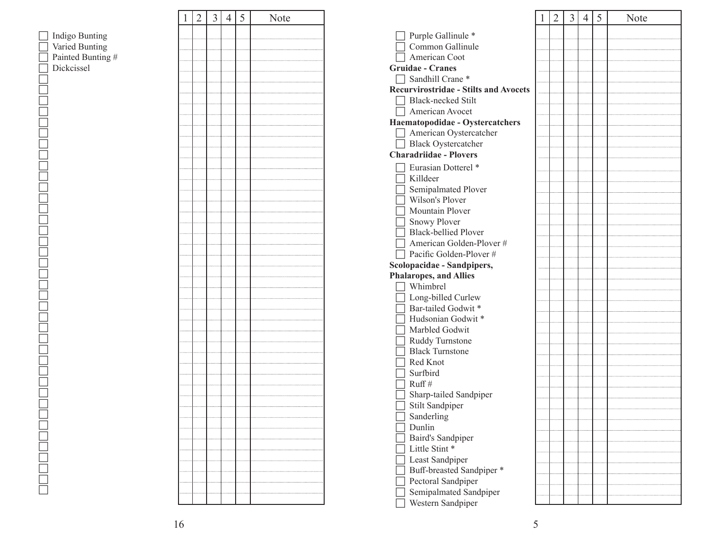|                                  | $\mathbf{1}$ | $\overline{2}$ | $\overline{3}$ | $\overline{4}$ | 5 | Note |
|----------------------------------|--------------|----------------|----------------|----------------|---|------|
|                                  |              |                |                |                |   |      |
| Indigo Bunting<br>Varied Bunting |              |                |                |                |   |      |
| Painted Bunting #                |              |                |                |                |   |      |
| Dickcissel                       |              |                |                |                |   |      |
|                                  |              |                |                |                |   |      |
|                                  |              |                |                |                |   |      |
|                                  |              |                |                |                |   |      |
|                                  |              |                |                |                |   |      |
|                                  |              |                |                |                |   |      |
|                                  |              |                |                |                |   |      |
|                                  |              |                |                |                |   |      |
|                                  |              |                |                |                |   |      |
|                                  |              |                |                |                |   |      |
|                                  |              |                |                |                |   |      |
|                                  |              |                |                |                |   |      |
|                                  |              |                |                |                |   |      |
|                                  |              |                |                |                |   |      |
|                                  |              |                |                |                |   |      |
|                                  |              |                |                |                |   |      |
|                                  |              |                |                |                |   |      |
|                                  |              |                |                |                |   |      |
|                                  |              |                |                |                |   |      |
|                                  |              |                |                |                |   |      |
|                                  |              |                |                |                |   |      |
|                                  |              |                |                |                |   |      |
|                                  |              |                |                |                |   |      |
|                                  |              |                |                |                |   |      |
|                                  |              |                |                |                |   |      |
|                                  |              |                |                |                |   |      |
|                                  |              |                |                |                |   |      |
|                                  |              |                |                |                |   |      |
|                                  |              |                |                |                |   |      |
|                                  |              |                |                |                |   |      |
|                                  |              |                |                |                |   |      |
|                                  |              |                |                |                |   |      |
|                                  |              |                |                |                |   |      |
|                                  |              |                |                |                |   |      |
|                                  |              |                |                |                |   |      |
|                                  |              |                |                |                |   |      |
|                                  |              |                |                |                |   |      |
|                                  |              |                |                |                |   |      |
|                                  |              |                |                |                |   |      |
|                                  |              |                |                |                |   |      |

|                                              | 1 | 2 | 3 | 4 | 5 | Note |
|----------------------------------------------|---|---|---|---|---|------|
| Purple Gallinule *                           |   |   |   |   |   |      |
| Common Gallinule                             |   |   |   |   |   |      |
| American Coot                                |   |   |   |   |   |      |
| <b>Gruidae - Cranes</b>                      |   |   |   |   |   |      |
| Sandhill Crane*                              |   |   |   |   |   |      |
| <b>Recurvirostridae - Stilts and Avocets</b> |   |   |   |   |   |      |
| <b>Black-necked Stilt</b>                    |   |   |   |   |   |      |
| American Avocet                              |   |   |   |   |   |      |
| Haematopodidae - Oystercatchers              |   |   |   |   |   |      |
| American Oystercatcher                       |   |   |   |   |   |      |
| <b>Black Oystercatcher</b>                   |   |   |   |   |   |      |
| <b>Charadriidae - Plovers</b>                |   |   |   |   |   |      |
|                                              |   |   |   |   |   |      |
| Eurasian Dotterel *                          |   |   |   |   |   |      |
| Killdeer                                     |   |   |   |   |   |      |
| Semipalmated Plover                          |   |   |   |   |   |      |
| Wilson's Plover                              |   |   |   |   |   |      |
| Mountain Plover                              |   |   |   |   |   |      |
| <b>Snowy Plover</b>                          |   |   |   |   |   |      |
| <b>Black-bellied Plover</b>                  |   |   |   |   |   |      |
| American Golden-Plover #                     |   |   |   |   |   |      |
| Pacific Golden-Plover #                      |   |   |   |   |   |      |
| Scolopacidae - Sandpipers,                   |   |   |   |   |   |      |
| <b>Phalaropes, and Allies</b>                |   |   |   |   |   |      |
| Whimbrel                                     |   |   |   |   |   |      |
| Long-billed Curlew                           |   |   |   |   |   |      |
| Bar-tailed Godwit*                           |   |   |   |   |   |      |
| Hudsonian Godwit*                            |   |   |   |   |   |      |
| Marbled Godwit                               |   |   |   |   |   |      |
| Ruddy Turnstone                              |   |   |   |   |   |      |
| <b>Black Turnstone</b>                       |   |   |   |   |   |      |
| Red Knot<br>Surfbird                         |   |   |   |   |   |      |
|                                              |   |   |   |   |   |      |
| Ruff#                                        |   |   |   |   |   |      |
| Sharp-tailed Sandpiper                       |   |   |   |   |   |      |
| Stilt Sandpiper<br>Sanderling                |   |   |   |   |   |      |
|                                              |   |   |   |   |   |      |
| Dunlin                                       |   |   |   |   |   |      |
| Baird's Sandpiper                            |   |   |   |   |   |      |
| Little Stint *                               |   |   |   |   |   |      |
| Least Sandpiper                              |   |   |   |   |   |      |
| Buff-breasted Sandpiper *                    |   |   |   |   |   |      |
| Pectoral Sandpiper                           |   |   |   |   |   |      |
| Semipalmated Sandpiper                       |   |   |   |   |   |      |
| Western Sandpiper                            |   |   |   |   |   |      |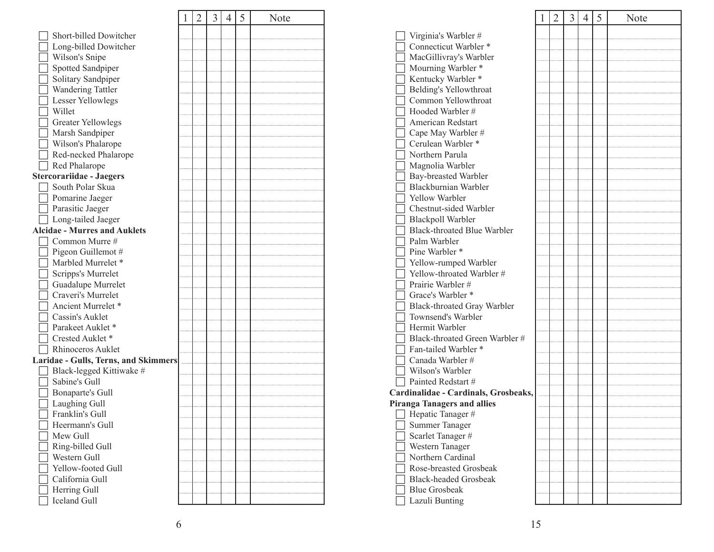|                                         | 1 | $\overline{2}$ | 3 | $\overline{4}$ | 5 | Note |
|-----------------------------------------|---|----------------|---|----------------|---|------|
| Short-billed Dowitcher                  |   |                |   |                |   |      |
|                                         |   |                |   |                |   |      |
| Long-billed Dowitcher<br>Wilson's Snipe |   |                |   |                |   |      |
|                                         |   |                |   |                |   |      |
| Spotted Sandpiper                       |   |                |   |                |   |      |
| Solitary Sandpiper                      |   |                |   |                |   |      |
| Wandering Tattler                       |   |                |   |                |   |      |
| Lesser Yellowlegs                       |   |                |   |                |   |      |
| Willet                                  |   |                |   |                |   |      |
| <b>Greater Yellowlegs</b>               |   |                |   |                |   |      |
| Marsh Sandpiper                         |   |                |   |                |   |      |
| Wilson's Phalarope                      |   |                |   |                |   |      |
| Red-necked Phalarope                    |   |                |   |                |   |      |
| Red Phalarope                           |   |                |   |                |   |      |
| <b>Stercorariidae - Jaegers</b>         |   |                |   |                |   |      |
| South Polar Skua                        |   |                |   |                |   |      |
| Pomarine Jaeger                         |   |                |   |                |   |      |
| Parasitic Jaeger                        |   |                |   |                |   |      |
| Long-tailed Jaeger                      |   |                |   |                |   |      |
| <b>Alcidae - Murres and Auklets</b>     |   |                |   |                |   |      |
| Common Murre #                          |   |                |   |                |   |      |
| Pigeon Guillemot #                      |   |                |   |                |   |      |
| Marbled Murrelet *                      |   |                |   |                |   |      |
| Scripps's Murrelet                      |   |                |   |                |   |      |
| Guadalupe Murrelet                      |   |                |   |                |   |      |
| Craveri's Murrelet                      |   |                |   |                |   |      |
| Ancient Murrelet *                      |   |                |   |                |   |      |
| Cassin's Auklet                         |   |                |   |                |   |      |
| Parakeet Auklet*                        |   |                |   |                |   |      |
| Crested Auklet*                         |   |                |   |                |   |      |
| Rhinoceros Auklet                       |   |                |   |                |   |      |
| Laridae - Gulls, Terns, and Skimmers    |   |                |   |                |   |      |
| Black-legged Kittiwake #                |   |                |   |                |   |      |
| Sabine's Gull                           |   |                |   |                |   |      |
| Bonaparte's Gull                        |   |                |   |                |   |      |
| Laughing Gull                           |   |                |   |                |   |      |
| Franklin's Gull                         |   |                |   |                |   |      |
| Heermann's Gull                         |   |                |   |                |   |      |
| Mew Gull                                |   |                |   |                |   |      |
| Ring-billed Gull                        |   |                |   |                |   |      |
| Western Gull                            |   |                |   |                |   |      |
| Yellow-footed Gull                      |   |                |   |                |   |      |
| California Gull                         |   |                |   |                |   |      |
| Herring Gull                            |   |                |   |                |   |      |
| <b>Iceland Gull</b>                     |   |                |   |                |   |      |
|                                         |   |                |   |                |   |      |

|                                               | 1 | $\overline{2}$ | $\overline{3}$ | $\overline{4}$ | 5 | Note |
|-----------------------------------------------|---|----------------|----------------|----------------|---|------|
|                                               |   |                |                |                |   |      |
| Virginia's Warbler #<br>Connecticut Warbler * |   |                |                |                |   |      |
| MacGillivray's Warbler                        |   |                |                |                |   |      |
| Mourning Warbler *                            |   |                |                |                |   |      |
|                                               |   |                |                |                |   |      |
| Kentucky Warbler *                            |   |                |                |                |   |      |
| Belding's Yellowthroat<br>Common Yellowthroat |   |                |                |                |   |      |
| Hooded Warbler #                              |   |                |                |                |   |      |
| <b>American Redstart</b>                      |   |                |                |                |   |      |
|                                               |   |                |                |                |   |      |
| Cape May Warbler #<br>Cerulean Warbler *      |   |                |                |                |   |      |
|                                               |   |                |                |                |   |      |
| Northern Parula                               |   |                |                |                |   |      |
| Magnolia Warbler                              |   |                |                |                |   |      |
| Bay-breasted Warbler                          |   |                |                |                |   |      |
| Blackburnian Warbler                          |   |                |                |                |   |      |
| Yellow Warbler                                |   |                |                |                |   |      |
| Chestnut-sided Warbler                        |   |                |                |                |   |      |
| Blackpoll Warbler                             |   |                |                |                |   |      |
| <b>Black-throated Blue Warbler</b>            |   |                |                |                |   |      |
| Palm Warbler                                  |   |                |                |                |   |      |
| Pine Warbler *                                |   |                |                |                |   |      |
| Yellow-rumped Warbler                         |   |                |                |                |   |      |
| Yellow-throated Warbler #                     |   |                |                |                |   |      |
| Prairie Warbler #                             |   |                |                |                |   |      |
| Grace's Warbler *                             |   |                |                |                |   |      |
| Black-throated Gray Warbler                   |   |                |                |                |   |      |
| Townsend's Warbler                            |   |                |                |                |   |      |
| Hermit Warbler                                |   |                |                |                |   |      |
| Black-throated Green Warbler #                |   |                |                |                |   |      |
| Fan-tailed Warbler *                          |   |                |                |                |   |      |
| Canada Warbler #                              |   |                |                |                |   |      |
| Wilson's Warbler                              |   |                |                |                |   |      |
| Painted Redstart #                            |   |                |                |                |   |      |
| Cardinalidae - Cardinals, Grosbeaks,          |   |                |                |                |   |      |
| <b>Piranga Tanagers and allies</b>            |   |                |                |                |   |      |
| Hepatic Tanager #                             |   |                |                |                |   |      |
| Summer Tanager                                |   |                |                |                |   |      |
| Scarlet Tanager#                              |   |                |                |                |   |      |
| Western Tanager                               |   |                |                |                |   |      |
| Northern Cardinal                             |   |                |                |                |   |      |
| Rose-breasted Grosbeak                        |   |                |                |                |   |      |
| <b>Black-headed Grosbeak</b>                  |   |                |                |                |   |      |
| <b>Blue Grosbeak</b>                          |   |                |                |                |   |      |
| Lazuli Bunting                                |   |                |                |                |   |      |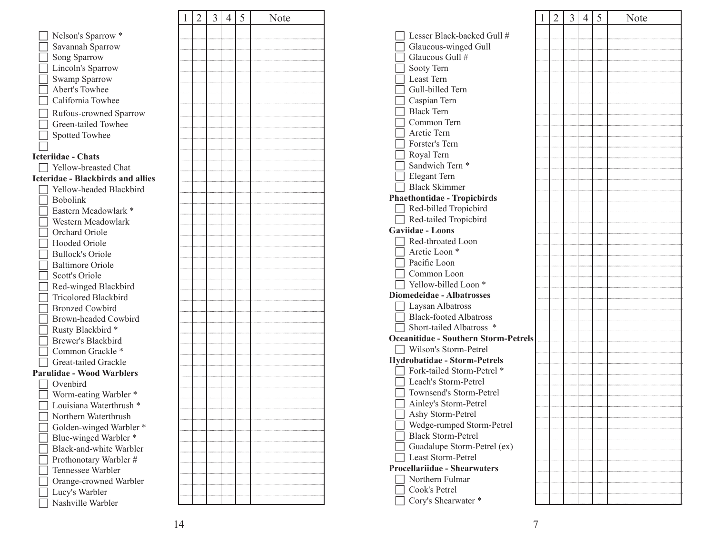|                                               | 1 | $\overline{2}$ | $\overline{3}$ | $\overline{4}$ | 5 |
|-----------------------------------------------|---|----------------|----------------|----------------|---|
| Nelson's Sparrow *                            |   |                |                |                |   |
| Savannah Sparrow                              |   |                |                |                |   |
| Song Sparrow                                  |   |                |                |                |   |
| Lincoln's Sparrow                             |   |                |                |                |   |
| Swamp Sparrow                                 |   |                |                |                |   |
| <b>Abert's Towhee</b>                         |   |                |                |                |   |
| California Towhee                             |   |                |                |                |   |
|                                               |   |                |                |                |   |
| Rufous-crowned Sparrow<br>Green-tailed Towhee |   |                |                |                |   |
|                                               |   |                |                |                |   |
| Spotted Towhee                                |   |                |                |                |   |
|                                               |   |                |                |                |   |
| <b>Icteriidae - Chats</b>                     |   |                |                |                |   |
| □ Yellow-breasted Chat                        |   |                |                |                |   |
| <b>Icteridae - Blackbirds and allies</b>      |   |                |                |                |   |
| Yellow-headed Blackbird                       |   |                |                |                |   |
| <b>Bobolink</b>                               |   |                |                |                |   |
| Eastern Meadowlark *                          |   |                |                |                |   |
| Western Meadowlark                            |   |                |                |                |   |
| Orchard Oriole                                |   |                |                |                |   |
| Hooded Oriole                                 |   |                |                |                |   |
| Bullock's Oriole                              |   |                |                |                |   |
| Baltimore Oriole                              |   |                |                |                |   |
| Scott's Oriole                                |   |                |                |                |   |
| Red-winged Blackbird                          |   |                |                |                |   |
| Tricolored Blackbird                          |   |                |                |                |   |
| <b>Bronzed Cowbird</b>                        |   |                |                |                |   |
| Brown-headed Cowbird                          |   |                |                |                |   |
| Rusty Blackbird *                             |   |                |                |                |   |
| Brewer's Blackbird                            |   |                |                |                |   |
| Common Grackle *                              |   |                |                |                |   |
| Great-tailed Grackle                          |   |                |                |                |   |
| <b>Parulidae - Wood Warblers</b>              |   |                |                |                |   |
| Ovenbird                                      |   |                |                |                |   |
| Worm-eating Warbler *                         |   |                |                |                |   |
| Louisiana Waterthrush *                       |   |                |                |                |   |
| Northern Waterthrush                          |   |                |                |                |   |
| Golden-winged Warbler *                       |   |                |                |                |   |
| Blue-winged Warbler *                         |   |                |                |                |   |
| Black-and-white Warbler                       |   |                |                |                |   |
| Prothonotary Warbler #                        |   |                |                |                |   |
| Tennessee Warbler                             |   |                |                |                |   |
| Orange-crowned Warbler                        |   |                |                |                |   |
| Lucy's Warbler                                |   |                |                |                |   |
| Nashville Warbler                             |   |                |                |                |   |

| 4 5 | Note |      |
|-----|------|------|
|     |      |      |
|     |      |      |
|     |      |      |
|     |      |      |
|     |      |      |
|     |      |      |
|     |      |      |
|     |      |      |
|     |      |      |
|     |      |      |
|     |      |      |
|     |      |      |
|     |      | Pha  |
|     |      |      |
|     |      | Gay  |
|     |      |      |
|     |      |      |
|     |      |      |
|     |      |      |
|     |      | Dio: |
|     |      |      |
|     |      |      |
|     |      | Oce  |
|     |      | Hyd  |
|     |      |      |
|     |      |      |
|     |      |      |
|     |      |      |
|     |      |      |
|     |      |      |
|     |      |      |
|     |      | Pro  |
|     |      |      |
|     |      |      |
|     |      |      |

|                                             | 1 | 2 | 3 | 4 | 5 | Note |
|---------------------------------------------|---|---|---|---|---|------|
|                                             |   |   |   |   |   |      |
| Lesser Black-backed Gull #                  |   |   |   |   |   |      |
| Glaucous-winged Gull<br>Glaucous Gull #     |   |   |   |   |   |      |
|                                             |   |   |   |   |   |      |
| Sooty Tern<br>Least Tern                    |   |   |   |   |   |      |
| Gull-billed Tern                            |   |   |   |   |   |      |
| Caspian Tern                                |   |   |   |   |   |      |
| <b>Black Tern</b>                           |   |   |   |   |   |      |
| Common Tern                                 |   |   |   |   |   |      |
| Arctic Tern                                 |   |   |   |   |   |      |
| Forster's Tern                              |   |   |   |   |   |      |
| Royal Tern                                  |   |   |   |   |   |      |
| Sandwich Tern <sup>*</sup>                  |   |   |   |   |   |      |
| Elegant Tern                                |   |   |   |   |   |      |
| <b>Black Skimmer</b>                        |   |   |   |   |   |      |
| <b>Phaethontidae - Tropicbirds</b>          |   |   |   |   |   |      |
| Red-billed Tropicbird                       |   |   |   |   |   |      |
| Red-tailed Tropicbird                       |   |   |   |   |   |      |
| <b>Gaviidae - Loons</b>                     |   |   |   |   |   |      |
| Red-throated Loon                           |   |   |   |   |   |      |
| Arctic Loon <sup>*</sup>                    |   |   |   |   |   |      |
| Pacific Loon                                |   |   |   |   |   |      |
| Common Loon                                 |   |   |   |   |   |      |
| Yellow-billed Loon <sup>*</sup>             |   |   |   |   |   |      |
| <b>Diomedeidae - Albatrosses</b>            |   |   |   |   |   |      |
| Laysan Albatross                            |   |   |   |   |   |      |
| <b>Black-footed Albatross</b>               |   |   |   |   |   |      |
| Short-tailed Albatross *                    |   |   |   |   |   |      |
| <b>Oceanitidae - Southern Storm-Petrels</b> |   |   |   |   |   |      |
| Wilson's Storm-Petrel                       |   |   |   |   |   |      |
| <b>Hydrobatidae - Storm-Petrels</b>         |   |   |   |   |   |      |
| Fork-tailed Storm-Petrel *                  |   |   |   |   |   |      |
| Leach's Storm-Petrel                        |   |   |   |   |   |      |
| Townsend's Storm-Petrel                     |   |   |   |   |   |      |
| Ainley's Storm-Petrel                       |   |   |   |   |   |      |
| Ashy Storm-Petrel                           |   |   |   |   |   |      |
| Wedge-rumped Storm-Petrel                   |   |   |   |   |   |      |
| <b>Black Storm-Petrel</b>                   |   |   |   |   |   |      |
| Guadalupe Storm-Petrel (ex)                 |   |   |   |   |   |      |
| Least Storm-Petrel                          |   |   |   |   |   |      |
| <b>Procellariidae - Shearwaters</b>         |   |   |   |   |   |      |
| Northern Fulmar                             |   |   |   |   |   |      |
| Cook's Petrel                               |   |   |   |   |   |      |
| Cory's Shearwater *                         |   |   |   |   |   |      |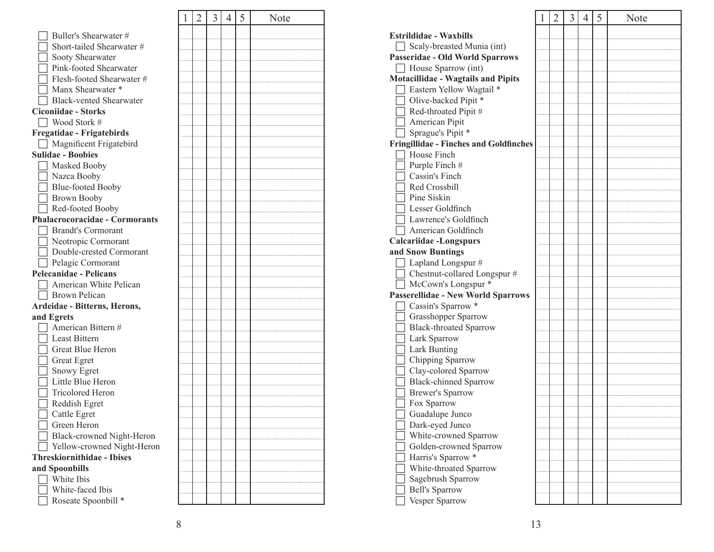|                                       | 1 | 2 | 3 | 4 | 5 | Note |
|---------------------------------------|---|---|---|---|---|------|
| Buller's Shearwater #                 |   |   |   |   |   |      |
| Short-tailed Shearwater #             |   |   |   |   |   |      |
| Sooty Shearwater                      |   |   |   |   |   |      |
| Pink-footed Shearwater                |   |   |   |   |   |      |
| Flesh-footed Shearwater #             |   |   |   |   |   |      |
| Manx Shearwater *                     |   |   |   |   |   |      |
| <b>Black-vented Shearwater</b>        |   |   |   |   |   |      |
| <b>Ciconiidae - Storks</b>            |   |   |   |   |   |      |
| Wood Stork #                          |   |   |   |   |   |      |
| Fregatidae - Frigatebirds             |   |   |   |   |   |      |
| Magnificent Frigatebird               |   |   |   |   |   |      |
| <b>Sulidae - Boobies</b>              |   |   |   |   |   |      |
| Masked Booby                          |   |   |   |   |   |      |
| Nazca Booby                           |   |   |   |   |   |      |
| Blue-footed Booby                     |   |   |   |   |   |      |
| <b>Brown Booby</b>                    |   |   |   |   |   |      |
| Red-footed Booby                      |   |   |   |   |   |      |
| <b>Phalacrocoracidae - Cormorants</b> |   |   |   |   |   |      |
| Brandt's Cormorant                    |   |   |   |   |   |      |
| Neotropic Cormorant                   |   |   |   |   |   |      |
| Double-crested Cormorant              |   |   |   |   |   |      |
| Pelagic Cormorant                     |   |   |   |   |   |      |
| <b>Pelecanidae - Pelicans</b>         |   |   |   |   |   |      |
| American White Pelican                |   |   |   |   |   |      |
| Brown Pelican                         |   |   |   |   |   |      |
| Ardeidae - Bitterns, Herons,          |   |   |   |   |   |      |
| and Egrets                            |   |   |   |   |   |      |
| American Bittern #                    |   |   |   |   |   |      |
| Least Bittern                         |   |   |   |   |   |      |
| <b>Great Blue Heron</b>               |   |   |   |   |   |      |
| Great Egret                           |   |   |   |   |   |      |
| Snowy Egret                           |   |   |   |   |   |      |
| Little Blue Heron                     |   |   |   |   |   |      |
| Tricolored Heron                      |   |   |   |   |   |      |
| Reddish Egret                         |   |   |   |   |   |      |
| Cattle Egret                          |   |   |   |   |   |      |
| Green Heron                           |   |   |   |   |   |      |
| Black-crowned Night-Heron             |   |   |   |   |   |      |
| Yellow-crowned Night-Heron            |   |   |   |   |   |      |
| <b>Threskiornithidae - Ibises</b>     |   |   |   |   |   |      |
| and Spoonbills                        |   |   |   |   |   |      |
| White Ibis                            |   |   |   |   |   |      |
| White-faced Ibis                      |   |   |   |   |   |      |
| Roseate Spoonbill *                   |   |   |   |   |   |      |

|                                                      | 1 | 2 | 3 | 4 | 5 | Note |
|------------------------------------------------------|---|---|---|---|---|------|
| <b>Estrildidae - Waxbills</b>                        |   |   |   |   |   |      |
| Scaly-breasted Munia (int)                           |   |   |   |   |   |      |
| Passeridae - Old World Sparrows                      |   |   |   |   |   |      |
| House Sparrow (int)                                  |   |   |   |   |   |      |
| <b>Motacillidae - Wagtails and Pipits</b>            |   |   |   |   |   |      |
| Eastern Yellow Wagtail *                             |   |   |   |   |   |      |
| Olive-backed Pipit *                                 |   |   |   |   |   |      |
| Red-throated Pipit#                                  |   |   |   |   |   |      |
| American Pipit                                       |   |   |   |   |   |      |
| Sprague's Pipit *                                    |   |   |   |   |   |      |
| <b>Fringillidae - Finches and Goldfinches</b>        |   |   |   |   |   |      |
| House Finch                                          |   |   |   |   |   |      |
| Purple Finch#                                        |   |   |   |   |   |      |
| Cassin's Finch                                       |   |   |   |   |   |      |
| Red Crossbill                                        |   |   |   |   |   |      |
| Pine Siskin                                          |   |   |   |   |   |      |
| Lesser Goldfinch                                     |   |   |   |   |   |      |
| Lawrence's Goldfinch                                 |   |   |   |   |   |      |
| American Goldfinch                                   |   |   |   |   |   |      |
| Calcariidae -Longspurs                               |   |   |   |   |   |      |
| and Snow Buntings                                    |   |   |   |   |   |      |
| Lapland Longspur #                                   |   |   |   |   |   |      |
| Chestnut-collared Longspur #                         |   |   |   |   |   |      |
| McCown's Longspur *                                  |   |   |   |   |   |      |
| Passerellidae - New World Sparrows                   |   |   |   |   |   |      |
| Cassin's Sparrow *                                   |   |   |   |   |   |      |
|                                                      |   |   |   |   |   |      |
| Grasshopper Sparrow<br><b>Black-throated Sparrow</b> |   |   |   |   |   |      |
|                                                      |   |   |   |   |   |      |
| Lark Sparrow                                         |   |   |   |   |   |      |
| Lark Bunting                                         |   |   |   |   |   |      |
| Chipping Sparrow<br>Clay-colored Sparrow             |   |   |   |   |   |      |
| <b>Black-chinned Sparrow</b>                         |   |   |   |   |   |      |
| <b>Brewer's Sparrow</b>                              |   |   |   |   |   |      |
|                                                      |   |   |   |   |   |      |
| Fox Sparrow                                          |   |   |   |   |   |      |
| Guadalupe Junco                                      |   |   |   |   |   |      |
| Dark-eyed Junco                                      |   |   |   |   |   |      |
| White-crowned Sparrow                                |   |   |   |   |   |      |
| Golden-crowned Sparrow                               |   |   |   |   |   |      |
| Harris's Sparrow *                                   |   |   |   |   |   |      |
| White-throated Sparrow                               |   |   |   |   |   |      |
| Sagebrush Sparrow                                    |   |   |   |   |   |      |
| <b>Bell's Sparrow</b>                                |   |   |   |   |   |      |
| Vesper Sparrow                                       |   |   |   |   |   |      |

. . . . . . . . . . . . . . . . . .

. . . . . . . . . . . .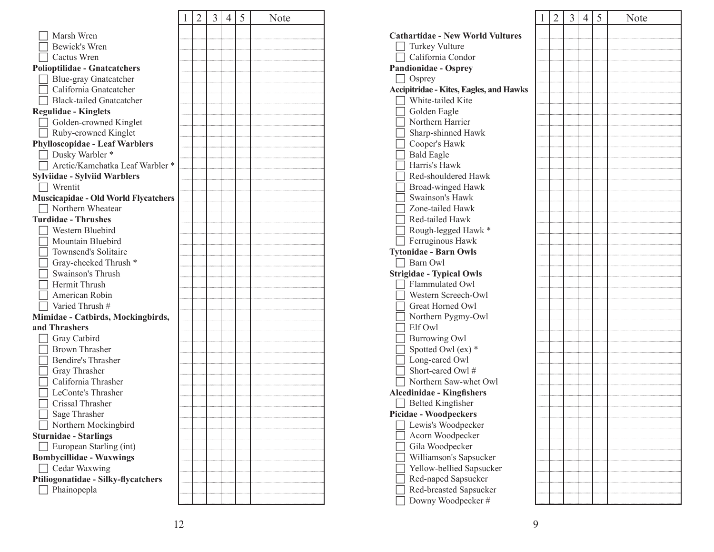|                                                | 1 | 2 | 3 | 4 | 5 | Note |
|------------------------------------------------|---|---|---|---|---|------|
| Marsh Wren                                     |   |   |   |   |   |      |
| Bewick's Wren                                  |   |   |   |   |   |      |
| Cactus Wren                                    |   |   |   |   |   |      |
| <b>Polioptilidae - Gnatcatchers</b>            |   |   |   |   |   |      |
| Blue-gray Gnatcatcher                          |   |   |   |   |   |      |
| California Gnatcatcher                         |   |   |   |   |   |      |
| <b>Black-tailed Gnatcatcher</b>                |   |   |   |   |   |      |
| <b>Regulidae - Kinglets</b>                    |   |   |   |   |   |      |
| Golden-crowned Kinglet                         |   |   |   |   |   |      |
| Ruby-crowned Kinglet                           |   |   |   |   |   |      |
| <b>Phylloscopidae - Leaf Warblers</b>          |   |   |   |   |   |      |
| Dusky Warbler *                                |   |   |   |   |   |      |
| Arctic/Kamchatka Leaf Warbler *                |   |   |   |   |   |      |
|                                                |   |   |   |   |   |      |
| <b>Sylviidae - Sylviid Warblers</b><br>Wrentit |   |   |   |   |   |      |
|                                                |   |   |   |   |   |      |
| <b>Muscicapidae - Old World Flycatchers</b>    |   |   |   |   |   |      |
| Northern Wheatear                              |   |   |   |   |   |      |
| <b>Turdidae - Thrushes</b>                     |   |   |   |   |   |      |
| Western Bluebird                               |   |   |   |   |   |      |
| Mountain Bluebird                              |   |   |   |   |   |      |
| Townsend's Solitaire                           |   |   |   |   |   |      |
| Gray-cheeked Thrush *                          |   |   |   |   |   |      |
| Swainson's Thrush                              |   |   |   |   |   |      |
| Hermit Thrush                                  |   |   |   |   |   |      |
| American Robin                                 |   |   |   |   |   |      |
| Varied Thrush #                                |   |   |   |   |   |      |
| Mimidae - Catbirds, Mockingbirds,              |   |   |   |   |   |      |
| and Thrashers                                  |   |   |   |   |   |      |
| Gray Catbird                                   |   |   |   |   |   |      |
| <b>Brown Thrasher</b>                          |   |   |   |   |   |      |
| Bendire's Thrasher                             |   |   |   |   |   |      |
| Gray Thrasher                                  |   |   |   |   |   |      |
| California Thrasher                            |   |   |   |   |   |      |
| LeConte's Thrasher                             |   |   |   |   |   |      |
| Crissal Thrasher                               |   |   |   |   |   |      |
| Sage Thrasher                                  |   |   |   |   |   |      |
| Northern Mockingbird                           |   |   |   |   |   |      |
| <b>Sturnidae - Starlings</b>                   |   |   |   |   |   |      |
| European Starling (int)                        |   |   |   |   |   |      |
| <b>Bombycillidae - Waxwings</b>                |   |   |   |   |   |      |
| Cedar Waxwing                                  |   |   |   |   |   |      |
| Ptiliogonatidae - Silky-flycatchers            |   |   |   |   |   |      |
| Phainopepla                                    |   |   |   |   |   |      |
|                                                |   |   |   |   |   |      |

|                                                | $\mathbf 1$ | $\overline{2}$ | 3 | $\overline{4}$ | 5 | Note |
|------------------------------------------------|-------------|----------------|---|----------------|---|------|
| <b>Cathartidae - New World Vultures</b>        |             |                |   |                |   |      |
| Turkey Vulture                                 |             |                |   |                |   |      |
| California Condor                              |             |                |   |                |   |      |
| <b>Pandionidae - Osprey</b>                    |             |                |   |                |   |      |
| $\Box$ Osprey                                  |             |                |   |                |   |      |
| <b>Accipitridae - Kites, Eagles, and Hawks</b> |             |                |   |                |   |      |
| White-tailed Kite                              |             |                |   |                |   |      |
| Golden Eagle                                   |             |                |   |                |   |      |
| Northern Harrier                               |             |                |   |                |   |      |
| Sharp-shinned Hawk                             |             |                |   |                |   |      |
| Cooper's Hawk                                  |             |                |   |                |   |      |
| <b>Bald Eagle</b>                              |             |                |   |                |   |      |
| Harris's Hawk                                  |             |                |   |                |   |      |
| Red-shouldered Hawk                            |             |                |   |                |   |      |
| Broad-winged Hawk                              |             |                |   |                |   |      |
| Swainson's Hawk                                |             |                |   |                |   |      |
| Zone-tailed Hawk                               |             |                |   |                |   |      |
| Red-tailed Hawk                                |             |                |   |                |   |      |
| Rough-legged Hawk *                            |             |                |   |                |   |      |
| Ferruginous Hawk                               |             |                |   |                |   |      |
| <b>Tytonidae - Barn Owls</b>                   |             |                |   |                |   |      |
| Barn Owl                                       |             |                |   |                |   |      |
| <b>Strigidae - Typical Owls</b>                |             |                |   |                |   |      |
| Flammulated Owl                                |             |                |   |                |   |      |
| Western Screech-Owl                            |             |                |   |                |   |      |
| Great Horned Owl                               |             |                |   |                |   |      |
| Northern Pygmy-Owl                             |             |                |   |                |   |      |
| Elf Owl                                        |             |                |   |                |   |      |
| <b>Burrowing Owl</b>                           |             |                |   |                |   |      |
| Spotted Owl (ex) *                             |             |                |   |                |   |      |
| Long-eared Owl                                 |             |                |   |                |   |      |
| Short-eared Owl #                              |             |                |   |                |   |      |
| Northern Saw-whet Owl                          |             |                |   |                |   |      |
| <b>Alcedinidae - Kingfishers</b>               |             |                |   |                |   |      |
| $\Box$ Belted Kingfisher                       |             |                |   |                |   |      |
| Picidae - Woodpeckers                          |             |                |   |                |   |      |
| Lewis's Woodpecker                             |             |                |   |                |   |      |
| Acorn Woodpecker                               |             |                |   |                |   |      |
| Gila Woodpecker                                |             |                |   |                |   |      |
| Williamson's Sapsucker                         |             |                |   |                |   |      |
| Yellow-bellied Sapsucker                       |             |                |   |                |   |      |
| Red-naped Sapsucker                            |             |                |   |                |   |      |
| Red-breasted Sapsucker                         |             |                |   |                |   |      |
| Downy Woodpecker#                              |             |                |   |                |   |      |